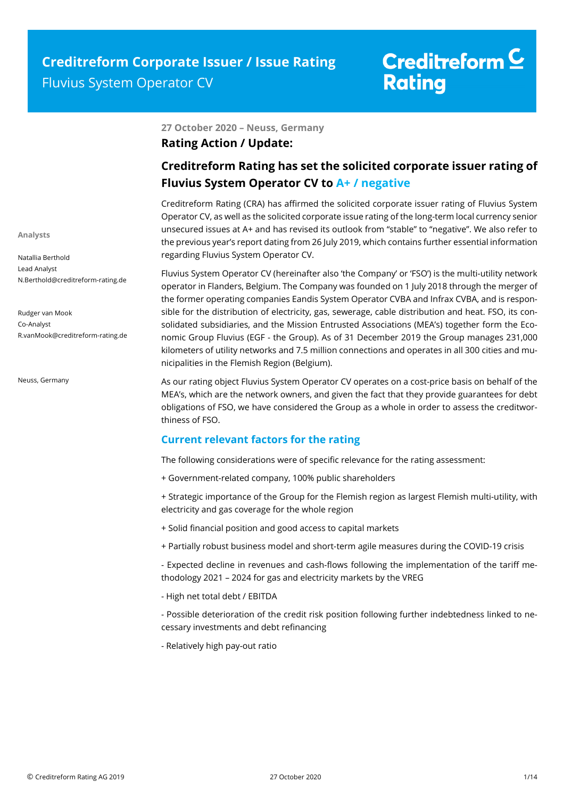### **27 October 2020 – Neuss, Germany**

### **Rating Action / Update:**

### **Creditreform Rating has set the solicited corporate issuer rating of Fluvius System Operator CV to A+ / negative**

Creditreform Rating (CRA) has affirmed the solicited corporate issuer rating of Fluvius System Operator CV, as well as the solicited corporate issue rating of the long-term local currency senior unsecured issues at A+ and has revised its outlook from "stable" to "negative". We also refer to the previous year's report dating from 26 July 2019, which contains further essential information regarding Fluvius System Operator CV.

Fluvius System Operator CV (hereinafter also 'the Company' or 'FSO') is the multi-utility network operator in Flanders, Belgium. The Company was founded on 1 July 2018 through the merger of the former operating companies Eandis System Operator CVBA and Infrax CVBA, and is responsible for the distribution of electricity, gas, sewerage, cable distribution and heat. FSO, its consolidated subsidiaries, and the Mission Entrusted Associations (MEA's) together form the Economic Group Fluvius (EGF - the Group). As of 31 December 2019 the Group manages 231,000 kilometers of utility networks and 7.5 million connections and operates in all 300 cities and municipalities in the Flemish Region (Belgium).

As our rating object Fluvius System Operator CV operates on a cost-price basis on behalf of the MEA's, which are the network owners, and given the fact that they provide guarantees for debt obligations of FSO, we have considered the Group as a whole in order to assess the creditworthiness of FSO.

### **Current relevant factors for the rating**

The following considerations were of specific relevance for the rating assessment:

+ Government-related company, 100% public shareholders

+ Strategic importance of the Group for the Flemish region as largest Flemish multi-utility, with electricity and gas coverage for the whole region

- + Solid financial position and good access to capital markets
- + Partially robust business model and short-term agile measures during the COVID-19 crisis

- Expected decline in revenues and cash-flows following the implementation of the tariff methodology 2021 – 2024 for gas and electricity markets by the VREG

- High net total debt / EBITDA

- Possible deterioration of the credit risk position following further indebtedness linked to necessary investments and debt refinancing

- Relatively high pay-out ratio

**Analysts** 

Natallia Berthold Lead Analyst N.Berthold@creditreform-rating.de

Rudger van Mook Co-Analyst R.vanMook@creditreform-rating.de

Neuss, Germany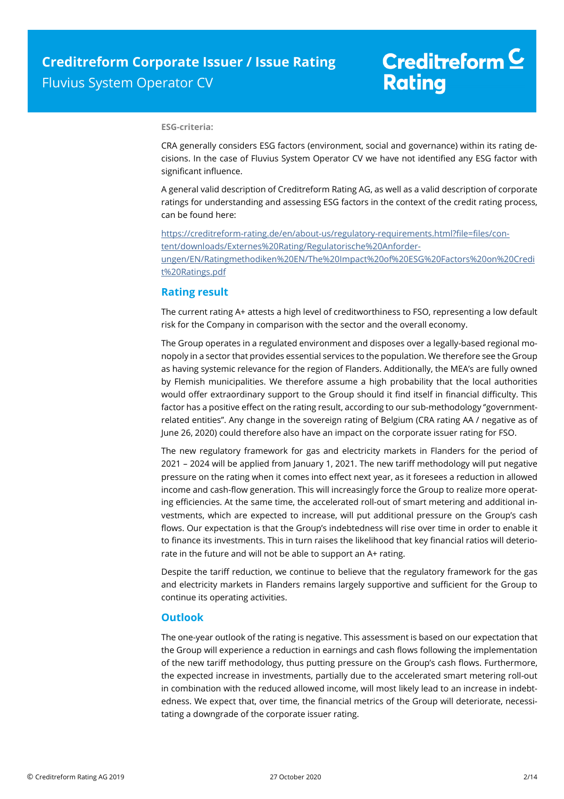#### **ESG-criteria:**

CRA generally considers ESG factors (environment, social and governance) within its rating decisions. In the case of Fluvius System Operator CV we have not identified any ESG factor with significant influence.

A general valid description of Creditreform Rating AG, as well as a valid description of corporate ratings for understanding and assessing ESG factors in the context of the credit rating process, can be found here:

https://creditreform-rating.de/en/about-us/regulatory-requirements.html?file=files/content/downloads/Externes%20Rating/Regulatorische%20Anforderungen/EN/Ratingmethodiken%20EN/The%20Impact%20of%20ESG%20Factors%20on%20Credi t%20Ratings.pdf

### **Rating result**

The current rating A+ attests a high level of creditworthiness to FSO, representing a low default risk for the Company in comparison with the sector and the overall economy.

The Group operates in a regulated environment and disposes over a legally-based regional monopoly in a sector that provides essential services to the population. We therefore see the Group as having systemic relevance for the region of Flanders. Additionally, the MEA's are fully owned by Flemish municipalities. We therefore assume a high probability that the local authorities would offer extraordinary support to the Group should it find itself in financial difficulty. This factor has a positive effect on the rating result, according to our sub-methodology "governmentrelated entities''. Any change in the sovereign rating of Belgium (CRA rating AA / negative as of June 26, 2020) could therefore also have an impact on the corporate issuer rating for FSO.

The new regulatory framework for gas and electricity markets in Flanders for the period of 2021 – 2024 will be applied from January 1, 2021. The new tariff methodology will put negative pressure on the rating when it comes into effect next year, as it foresees a reduction in allowed income and cash-flow generation. This will increasingly force the Group to realize more operating efficiencies. At the same time, the accelerated roll-out of smart metering and additional investments, which are expected to increase, will put additional pressure on the Group's cash flows. Our expectation is that the Group's indebtedness will rise over time in order to enable it to finance its investments. This in turn raises the likelihood that key financial ratios will deteriorate in the future and will not be able to support an A+ rating.

Despite the tariff reduction, we continue to believe that the regulatory framework for the gas and electricity markets in Flanders remains largely supportive and sufficient for the Group to continue its operating activities.

### **Outlook**

The one-year outlook of the rating is negative. This assessment is based on our expectation that the Group will experience a reduction in earnings and cash flows following the implementation of the new tariff methodology, thus putting pressure on the Group's cash flows. Furthermore, the expected increase in investments, partially due to the accelerated smart metering roll-out in combination with the reduced allowed income, will most likely lead to an increase in indebtedness. We expect that, over time, the financial metrics of the Group will deteriorate, necessitating a downgrade of the corporate issuer rating.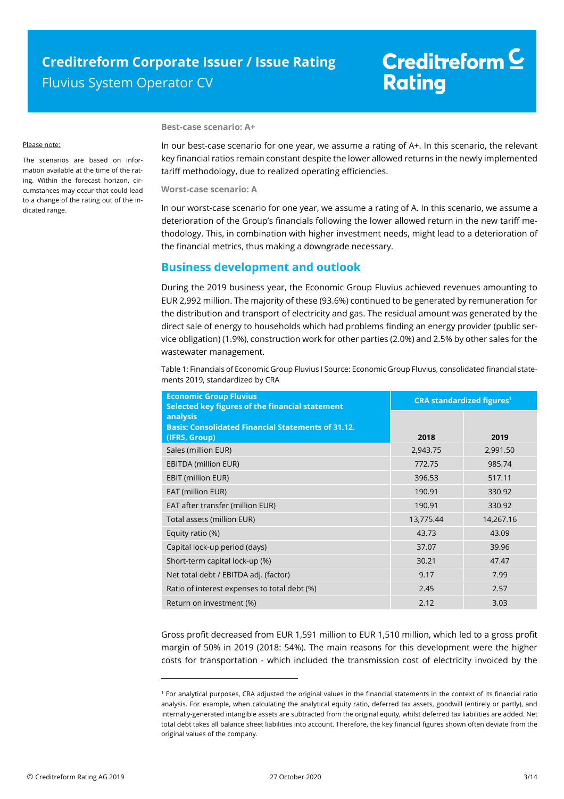#### Please note:

The scenarios are based on information available at the time of the rating. Within the forecast horizon, circumstances may occur that could lead to a change of the rating out of the indicated range.

#### **Best-case scenario: A+**

In our best-case scenario for one year, we assume a rating of A+. In this scenario, the relevant key financial ratios remain constant despite the lower allowed returns in the newly implemented tariff methodology, due to realized operating efficiencies.

**Worst-case scenario: A** 

In our worst-case scenario for one year, we assume a rating of A. In this scenario, we assume a deterioration of the Group's financials following the lower allowed return in the new tariff methodology. This, in combination with higher investment needs, might lead to a deterioration of the financial metrics, thus making a downgrade necessary.

### **Business development and outlook**

During the 2019 business year, the Economic Group Fluvius achieved revenues amounting to EUR 2,992 million. The majority of these (93.6%) continued to be generated by remuneration for the distribution and transport of electricity and gas. The residual amount was generated by the direct sale of energy to households which had problems finding an energy provider (public service obligation) (1.9%), construction work for other parties (2.0%) and 2.5% by other sales for the wastewater management.

Table 1: Financials of Economic Group Fluvius I Source: Economic Group Fluvius, consolidated financial statements 2019, standardized by CRA

| <b>Economic Group Fluvius</b><br>Selected key figures of the financial statement       | <b>CRA standardized figures<sup>1</sup></b> |           |  |
|----------------------------------------------------------------------------------------|---------------------------------------------|-----------|--|
| analysis<br><b>Basis: Consolidated Financial Statements of 31.12.</b><br>(IFRS, Group) | 2018                                        | 2019      |  |
| Sales (million EUR)                                                                    | 2,943.75                                    | 2,991.50  |  |
| <b>EBITDA (million EUR)</b>                                                            | 772.75                                      | 985.74    |  |
| EBIT (million EUR)                                                                     | 396.53                                      | 517.11    |  |
| EAT (million EUR)                                                                      | 190.91                                      | 330.92    |  |
| EAT after transfer (million EUR)                                                       | 190.91                                      | 330.92    |  |
| Total assets (million EUR)                                                             | 13,775.44                                   | 14,267.16 |  |
| Equity ratio (%)                                                                       | 43.73                                       | 43.09     |  |
| Capital lock-up period (days)                                                          | 37.07                                       | 39.96     |  |
| Short-term capital lock-up (%)                                                         | 30.21                                       | 47.47     |  |
| Net total debt / EBITDA adj. (factor)                                                  | 9.17                                        | 7.99      |  |
| Ratio of interest expenses to total debt (%)                                           | 2.45                                        | 2.57      |  |
| Return on investment (%)                                                               | 2.12                                        | 3.03      |  |

Gross profit decreased from EUR 1,591 million to EUR 1,510 million, which led to a gross profit margin of 50% in 2019 (2018: 54%). The main reasons for this development were the higher costs for transportation - which included the transmission cost of electricity invoiced by the

j

<sup>1</sup> For analytical purposes, CRA adjusted the original values in the financial statements in the context of its financial ratio analysis. For example, when calculating the analytical equity ratio, deferred tax assets, goodwill (entirely or partly), and internally-generated intangible assets are subtracted from the original equity, whilst deferred tax liabilities are added. Net total debt takes all balance sheet liabilities into account. Therefore, the key financial figures shown often deviate from the original values of the company.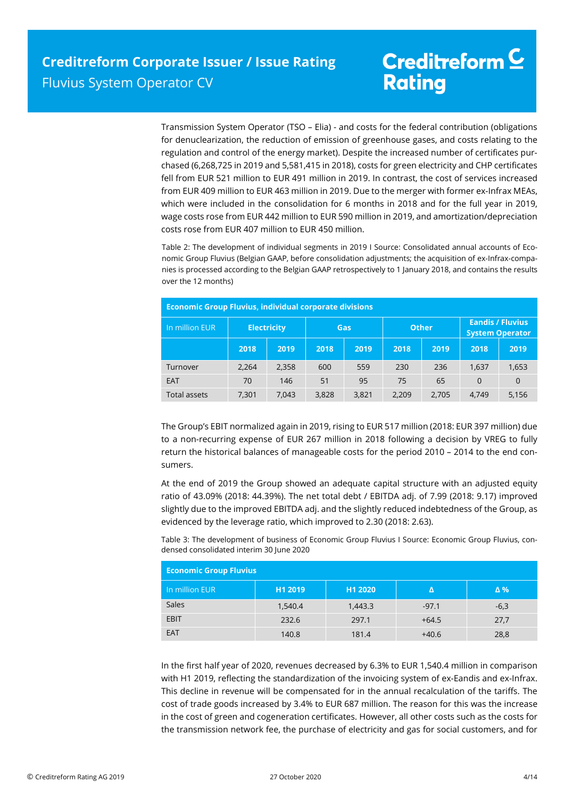Transmission System Operator (TSO – Elia) - and costs for the federal contribution (obligations for denuclearization, the reduction of emission of greenhouse gases, and costs relating to the regulation and control of the energy market). Despite the increased number of certificates purchased (6,268,725 in 2019 and 5,581,415 in 2018), costs for green electricity and CHP certificates fell from EUR 521 million to EUR 491 million in 2019. In contrast, the cost of services increased from EUR 409 million to EUR 463 million in 2019. Due to the merger with former ex-Infrax MEAs, which were included in the consolidation for 6 months in 2018 and for the full year in 2019, wage costs rose from EUR 442 million to EUR 590 million in 2019, and amortization/depreciation costs rose from EUR 407 million to EUR 450 million.

Table 2: The development of individual segments in 2019 I Source: Consolidated annual accounts of Economic Group Fluvius (Belgian GAAP, before consolidation adjustments; the acquisition of ex-Infrax-companies is processed according to the Belgian GAAP retrospectively to 1 January 2018, and contains the results over the 12 months)

| <b>Economic Group Fluvius, individual corporate divisions</b> |       |                    |       |       |              |       |                                                   |          |
|---------------------------------------------------------------|-------|--------------------|-------|-------|--------------|-------|---------------------------------------------------|----------|
| In million EUR                                                |       | <b>Electricity</b> | Gas   |       | <b>Other</b> |       | <b>Eandis / Fluvius</b><br><b>System Operator</b> |          |
|                                                               | 2018  | 2019               | 2018  | 2019  | 2018         | 2019  | 2018                                              | 2019     |
| Turnover                                                      | 2,264 | 2,358              | 600   | 559   | 230          | 236   | 1,637                                             | 1,653    |
| EAT                                                           | 70    | 146                | 51    | 95    | 75           | 65    | $\Omega$                                          | $\Omega$ |
| <b>Total assets</b>                                           | 7,301 | 7,043              | 3,828 | 3,821 | 2,209        | 2,705 | 4,749                                             | 5,156    |

The Group's EBIT normalized again in 2019, rising to EUR 517 million (2018: EUR 397 million) due to a non-recurring expense of EUR 267 million in 2018 following a decision by VREG to fully return the historical balances of manageable costs for the period 2010 – 2014 to the end consumers.

At the end of 2019 the Group showed an adequate capital structure with an adjusted equity ratio of 43.09% (2018: 44.39%). The net total debt / EBITDA adj. of 7.99 (2018: 9.17) improved slightly due to the improved EBITDA adj. and the slightly reduced indebtedness of the Group, as evidenced by the leverage ratio, which improved to 2.30 (2018: 2.63).

Table 3: The development of business of Economic Group Fluvius I Source: Economic Group Fluvius, condensed consolidated interim 30 June 2020

| <b>Economic Group Fluvius</b> |         |         |         |            |  |
|-------------------------------|---------|---------|---------|------------|--|
| In million EUR                | H1 2019 | H1 2020 |         | $\Delta$ % |  |
| Sales                         | 1,540.4 | 1,443.3 | $-97.1$ | $-6,3$     |  |
| <b>EBIT</b>                   | 232.6   | 297.1   | $+64.5$ | 27,7       |  |
| <b>EAT</b>                    | 140.8   | 181.4   | $+40.6$ | 28,8       |  |

In the first half year of 2020, revenues decreased by 6.3% to EUR 1,540.4 million in comparison with H1 2019, reflecting the standardization of the invoicing system of ex-Eandis and ex-Infrax. This decline in revenue will be compensated for in the annual recalculation of the tariffs. The cost of trade goods increased by 3.4% to EUR 687 million. The reason for this was the increase in the cost of green and cogeneration certificates. However, all other costs such as the costs for the transmission network fee, the purchase of electricity and gas for social customers, and for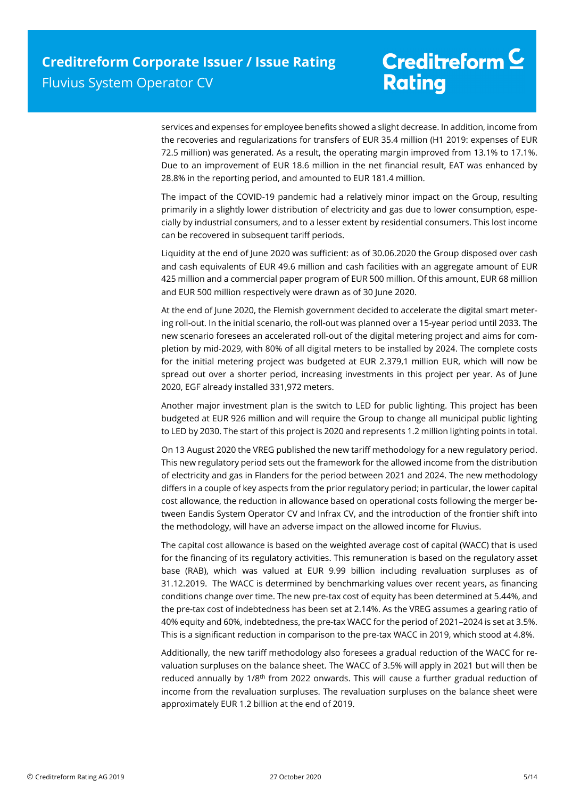services and expenses for employee benefits showed a slight decrease. In addition, income from the recoveries and regularizations for transfers of EUR 35.4 million (H1 2019: expenses of EUR 72.5 million) was generated. As a result, the operating margin improved from 13.1% to 17.1%. Due to an improvement of EUR 18.6 million in the net financial result, EAT was enhanced by 28.8% in the reporting period, and amounted to EUR 181.4 million.

The impact of the COVID-19 pandemic had a relatively minor impact on the Group, resulting primarily in a slightly lower distribution of electricity and gas due to lower consumption, especially by industrial consumers, and to a lesser extent by residential consumers. This lost income can be recovered in subsequent tariff periods.

Liquidity at the end of June 2020 was sufficient: as of 30.06.2020 the Group disposed over cash and cash equivalents of EUR 49.6 million and cash facilities with an aggregate amount of EUR 425 million and a commercial paper program of EUR 500 million. Of this amount, EUR 68 million and EUR 500 million respectively were drawn as of 30 June 2020.

At the end of June 2020, the Flemish government decided to accelerate the digital smart metering roll-out. In the initial scenario, the roll-out was planned over a 15-year period until 2033. The new scenario foresees an accelerated roll-out of the digital metering project and aims for completion by mid-2029, with 80% of all digital meters to be installed by 2024. The complete costs for the initial metering project was budgeted at EUR 2.379,1 million EUR, which will now be spread out over a shorter period, increasing investments in this project per year. As of June 2020, EGF already installed 331,972 meters.

Another major investment plan is the switch to LED for public lighting. This project has been budgeted at EUR 926 million and will require the Group to change all municipal public lighting to LED by 2030. The start of this project is 2020 and represents 1.2 million lighting points in total.

On 13 August 2020 the VREG published the new tariff methodology for a new regulatory period. This new regulatory period sets out the framework for the allowed income from the distribution of electricity and gas in Flanders for the period between 2021 and 2024. The new methodology differs in a couple of key aspects from the prior regulatory period; in particular, the lower capital cost allowance, the reduction in allowance based on operational costs following the merger between Eandis System Operator CV and Infrax CV, and the introduction of the frontier shift into the methodology, will have an adverse impact on the allowed income for Fluvius.

The capital cost allowance is based on the weighted average cost of capital (WACC) that is used for the financing of its regulatory activities. This remuneration is based on the regulatory asset base (RAB), which was valued at EUR 9.99 billion including revaluation surpluses as of 31.12.2019. The WACC is determined by benchmarking values over recent years, as financing conditions change over time. The new pre-tax cost of equity has been determined at 5.44%, and the pre-tax cost of indebtedness has been set at 2.14%. As the VREG assumes a gearing ratio of 40% equity and 60%, indebtedness, the pre-tax WACC for the period of 2021–2024 is set at 3.5%. This is a significant reduction in comparison to the pre-tax WACC in 2019, which stood at 4.8%.

Additionally, the new tariff methodology also foresees a gradual reduction of the WACC for revaluation surpluses on the balance sheet. The WACC of 3.5% will apply in 2021 but will then be reduced annually by 1/8<sup>th</sup> from 2022 onwards. This will cause a further gradual reduction of income from the revaluation surpluses. The revaluation surpluses on the balance sheet were approximately EUR 1.2 billion at the end of 2019.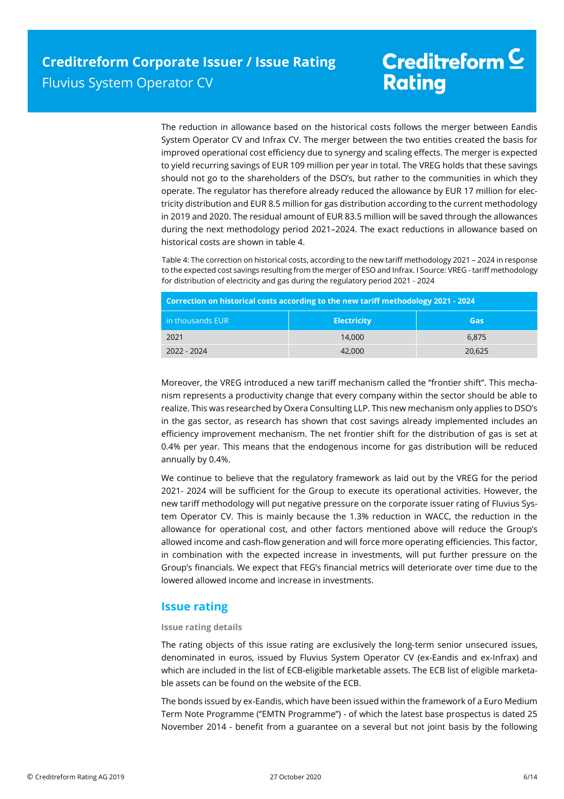The reduction in allowance based on the historical costs follows the merger between Eandis System Operator CV and Infrax CV. The merger between the two entities created the basis for improved operational cost efficiency due to synergy and scaling effects. The merger is expected to yield recurring savings of EUR 109 million per year in total. The VREG holds that these savings should not go to the shareholders of the DSO's, but rather to the communities in which they operate. The regulator has therefore already reduced the allowance by EUR 17 million for electricity distribution and EUR 8.5 million for gas distribution according to the current methodology in 2019 and 2020. The residual amount of EUR 83.5 million will be saved through the allowances during the next methodology period 2021–2024. The exact reductions in allowance based on historical costs are shown in table 4.

Table 4: The correction on historical costs, according to the new tariff methodology 2021 – 2024 in response to the expected cost savings resulting from the merger of ESO and Infrax. I Source: VREG - tariff methodology for distribution of electricity and gas during the regulatory period 2021 - 2024

| Correction on historical costs according to the new tariff methodology 2021 - 2024 |                    |        |  |  |
|------------------------------------------------------------------------------------|--------------------|--------|--|--|
| <b>in thousands EUR</b>                                                            | <b>Electricity</b> | Gas    |  |  |
| 2021                                                                               | 14.000             | 6.875  |  |  |
| 2022 - 2024                                                                        | 42,000             | 20,625 |  |  |

Moreover, the VREG introduced a new tariff mechanism called the ''frontier shift''. This mechanism represents a productivity change that every company within the sector should be able to realize. This was researched by Oxera Consulting LLP. This new mechanism only applies to DSO's in the gas sector, as research has shown that cost savings already implemented includes an efficiency improvement mechanism. The net frontier shift for the distribution of gas is set at 0.4% per year. This means that the endogenous income for gas distribution will be reduced annually by 0.4%.

We continue to believe that the regulatory framework as laid out by the VREG for the period 2021- 2024 will be sufficient for the Group to execute its operational activities. However, the new tariff methodology will put negative pressure on the corporate issuer rating of Fluvius System Operator CV. This is mainly because the 1.3% reduction in WACC, the reduction in the allowance for operational cost, and other factors mentioned above will reduce the Group's allowed income and cash-flow generation and will force more operating efficiencies. This factor, in combination with the expected increase in investments, will put further pressure on the Group's financials. We expect that FEG's financial metrics will deteriorate over time due to the lowered allowed income and increase in investments.

### **Issue rating**

### **Issue rating details**

The rating objects of this issue rating are exclusively the long-term senior unsecured issues, denominated in euros, issued by Fluvius System Operator CV (ex-Eandis and ex-Infrax) and which are included in the list of ECB-eligible marketable assets. The ECB list of eligible marketable assets can be found on the website of the ECB.

The bonds issued by ex-Eandis, which have been issued within the framework of a Euro Medium Term Note Programme (''EMTN Programme'') - of which the latest base prospectus is dated 25 November 2014 - benefit from a guarantee on a several but not joint basis by the following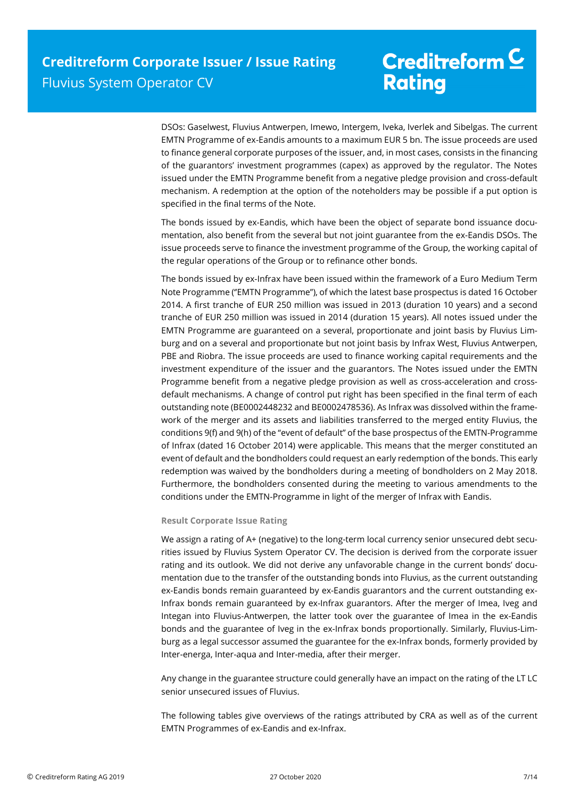DSOs: Gaselwest, Fluvius Antwerpen, Imewo, Intergem, Iveka, Iverlek and Sibelgas. The current EMTN Programme of ex-Eandis amounts to a maximum EUR 5 bn. The issue proceeds are used to finance general corporate purposes of the issuer, and, in most cases, consists in the financing of the guarantors' investment programmes (capex) as approved by the regulator. The Notes issued under the EMTN Programme benefit from a negative pledge provision and cross-default mechanism. A redemption at the option of the noteholders may be possible if a put option is specified in the final terms of the Note.

The bonds issued by ex-Eandis, which have been the object of separate bond issuance documentation, also benefit from the several but not joint guarantee from the ex-Eandis DSOs. The issue proceeds serve to finance the investment programme of the Group, the working capital of the regular operations of the Group or to refinance other bonds.

The bonds issued by ex-Infrax have been issued within the framework of a Euro Medium Term Note Programme (''EMTN Programme''), of which the latest base prospectus is dated 16 October 2014. A first tranche of EUR 250 million was issued in 2013 (duration 10 years) and a second tranche of EUR 250 million was issued in 2014 (duration 15 years). All notes issued under the EMTN Programme are guaranteed on a several, proportionate and joint basis by Fluvius Limburg and on a several and proportionate but not joint basis by Infrax West, Fluvius Antwerpen, PBE and Riobra. The issue proceeds are used to finance working capital requirements and the investment expenditure of the issuer and the guarantors. The Notes issued under the EMTN Programme benefit from a negative pledge provision as well as cross-acceleration and crossdefault mechanisms. A change of control put right has been specified in the final term of each outstanding note (BE0002448232 and BE0002478536). As Infrax was dissolved within the framework of the merger and its assets and liabilities transferred to the merged entity Fluvius, the conditions 9(f) and 9(h) of the "event of default" of the base prospectus of the EMTN-Programme of Infrax (dated 16 October 2014) were applicable. This means that the merger constituted an event of default and the bondholders could request an early redemption of the bonds. This early redemption was waived by the bondholders during a meeting of bondholders on 2 May 2018. Furthermore, the bondholders consented during the meeting to various amendments to the conditions under the EMTN-Programme in light of the merger of Infrax with Eandis.

#### **Result Corporate Issue Rating**

We assign a rating of A+ (negative) to the long-term local currency senior unsecured debt securities issued by Fluvius System Operator CV. The decision is derived from the corporate issuer rating and its outlook. We did not derive any unfavorable change in the current bonds' documentation due to the transfer of the outstanding bonds into Fluvius, as the current outstanding ex-Eandis bonds remain guaranteed by ex-Eandis guarantors and the current outstanding ex-Infrax bonds remain guaranteed by ex-Infrax guarantors. After the merger of Imea, Iveg and Integan into Fluvius-Antwerpen, the latter took over the guarantee of Imea in the ex-Eandis bonds and the guarantee of Iveg in the ex-Infrax bonds proportionally. Similarly, Fluvius-Limburg as a legal successor assumed the guarantee for the ex-Infrax bonds, formerly provided by Inter-energa, Inter-aqua and Inter-media, after their merger.

Any change in the guarantee structure could generally have an impact on the rating of the LT LC senior unsecured issues of Fluvius.

The following tables give overviews of the ratings attributed by CRA as well as of the current EMTN Programmes of ex-Eandis and ex-Infrax.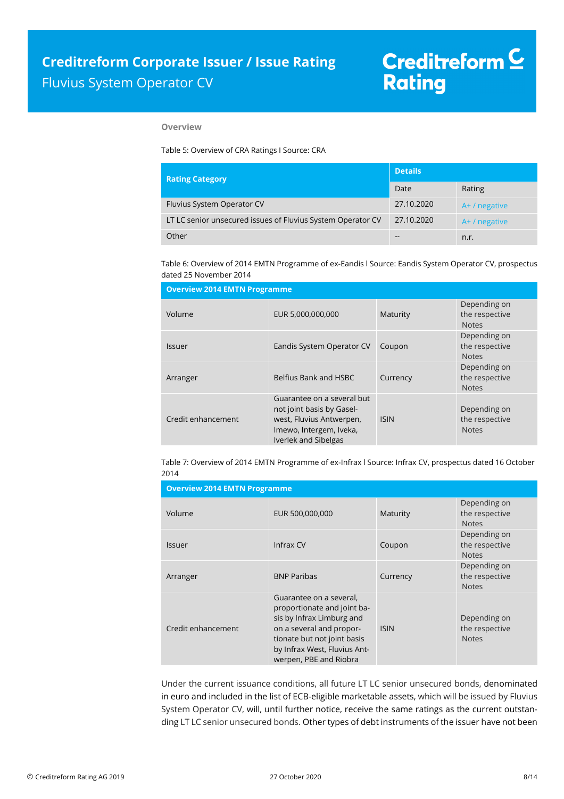#### **Overview**

Table 5: Overview of CRA Ratings I Source: CRA

| <b>Rating Category</b>                                      | <b>Details</b> |                 |  |
|-------------------------------------------------------------|----------------|-----------------|--|
|                                                             | Date           | Rating          |  |
| Fluvius System Operator CV                                  | 27.10.2020     | $A+ /$ negative |  |
| LT LC senior unsecured issues of Fluvius System Operator CV | 27.10.2020     | A+ / negative   |  |
| Other                                                       | --             | n.r.            |  |

Table 6: Overview of 2014 EMTN Programme of ex-Eandis l Source: Eandis System Operator CV, prospectus dated 25 November 2014

| <b>Overview 2014 EMTN Programme</b> |                                                                                                                                        |             |                                                |  |  |
|-------------------------------------|----------------------------------------------------------------------------------------------------------------------------------------|-------------|------------------------------------------------|--|--|
| Volume                              | EUR 5,000,000,000                                                                                                                      | Maturity    | Depending on<br>the respective<br><b>Notes</b> |  |  |
| Issuer                              | Eandis System Operator CV                                                                                                              | Coupon      | Depending on<br>the respective<br><b>Notes</b> |  |  |
| Arranger                            | Belfius Bank and HSBC                                                                                                                  | Currency    | Depending on<br>the respective<br><b>Notes</b> |  |  |
| Credit enhancement                  | Guarantee on a several but<br>not joint basis by Gasel-<br>west, Fluvius Antwerpen,<br>Imewo, Intergem, Iveka,<br>Iverlek and Sibelgas | <b>ISIN</b> | Depending on<br>the respective<br><b>Notes</b> |  |  |

Table 7: Overview of 2014 EMTN Programme of ex-Infrax l Source: Infrax CV, prospectus dated 16 October 2014

| <b>Overview 2014 EMTN Programme</b> |                                                                                                                                                                                                          |             |                                                |  |
|-------------------------------------|----------------------------------------------------------------------------------------------------------------------------------------------------------------------------------------------------------|-------------|------------------------------------------------|--|
| Volume                              | EUR 500,000,000                                                                                                                                                                                          | Maturity    | Depending on<br>the respective<br><b>Notes</b> |  |
| <b>Issuer</b>                       | Infrax CV                                                                                                                                                                                                | Coupon      | Depending on<br>the respective<br><b>Notes</b> |  |
| Arranger                            | <b>BNP Paribas</b>                                                                                                                                                                                       | Currency    | Depending on<br>the respective<br><b>Notes</b> |  |
| Credit enhancement                  | Guarantee on a several,<br>proportionate and joint ba-<br>sis by Infrax Limburg and<br>on a several and propor-<br>tionate but not joint basis<br>by Infrax West, Fluvius Ant-<br>werpen, PBE and Riobra | <b>ISIN</b> | Depending on<br>the respective<br><b>Notes</b> |  |

Under the current issuance conditions, all future LT LC senior unsecured bonds, denominated in euro and included in the list of ECB-eligible marketable assets, which will be issued by Fluvius System Operator CV, will, until further notice, receive the same ratings as the current outstanding LT LC senior unsecured bonds. Other types of debt instruments of the issuer have not been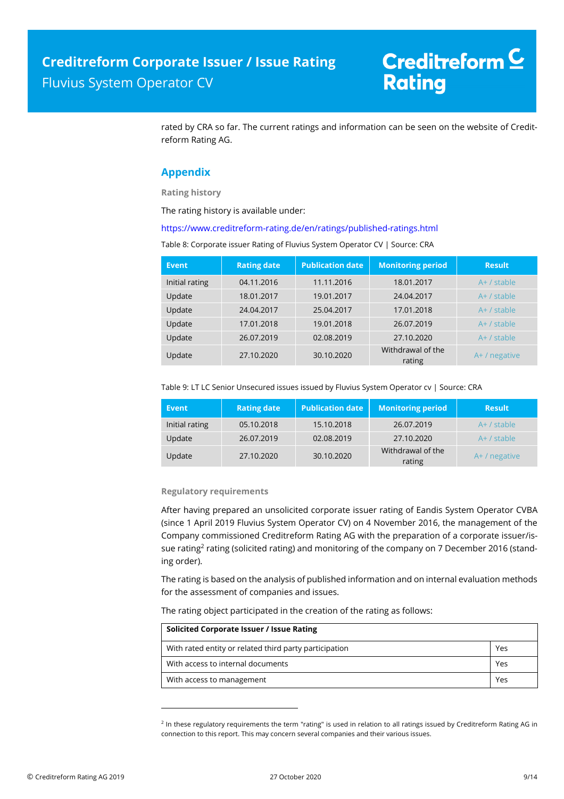rated by CRA so far. The current ratings and information can be seen on the website of Creditreform Rating AG.

### **Appendix**

**Rating history** 

The rating history is available under:

https://www.creditreform-rating.de/en/ratings/published-ratings.html

Table 8: Corporate issuer Rating of Fluvius System Operator CV | Source: CRA

| Event          | <b>Rating date</b> | <b>Publication date</b> | <b>Monitoring period</b>    | <b>Result</b> |
|----------------|--------------------|-------------------------|-----------------------------|---------------|
| Initial rating | 04.11.2016         | 11.11.2016              | 18.01.2017                  | $A+ /$ stable |
| Update         | 18.01.2017         | 19.01.2017              | 24.04.2017                  | $A+$ / stable |
| Update         | 24.04.2017         | 25.04.2017              | 17.01.2018                  | $A+ /$ stable |
| Update         | 17.01.2018         | 19.01.2018              | 26.07.2019                  | $A+$ / stable |
| Update         | 26.07.2019         | 02.08.2019              | 27.10.2020                  | $A+$ / stable |
| Update         | 27.10.2020         | 30.10.2020              | Withdrawal of the<br>rating | A+ / negative |

Table 9: LT LC Senior Unsecured issues issued by Fluvius System Operator cv | Source: CRA

| Event          | <b>Rating date</b> | <b>Publication date</b> | <b>Monitoring period</b>    | <b>Result</b>   |
|----------------|--------------------|-------------------------|-----------------------------|-----------------|
| Initial rating | 05.10.2018         | 15.10.2018              | 26.07.2019                  | $A+$ / stable   |
| Update         | 26.07.2019         | 02.08.2019              | 27.10.2020                  | $A+ /$ stable   |
| Update         | 27.10.2020         | 30.10.2020              | Withdrawal of the<br>rating | $A+ /$ negative |

#### **Regulatory requirements**

l

After having prepared an unsolicited corporate issuer rating of Eandis System Operator CVBA (since 1 April 2019 Fluvius System Operator CV) on 4 November 2016, the management of the Company commissioned Creditreform Rating AG with the preparation of a corporate issuer/issue rating<sup>2</sup> rating (solicited rating) and monitoring of the company on 7 December 2016 (standing order).

The rating is based on the analysis of published information and on internal evaluation methods for the assessment of companies and issues.

The rating object participated in the creation of the rating as follows:

| Solicited Corporate Issuer / Issue Rating              |     |  |  |  |
|--------------------------------------------------------|-----|--|--|--|
| With rated entity or related third party participation | Yes |  |  |  |
| With access to internal documents                      | Yes |  |  |  |
| With access to management                              | Yes |  |  |  |

<sup>&</sup>lt;sup>2</sup> In these regulatory requirements the term "rating" is used in relation to all ratings issued by Creditreform Rating AG in connection to this report. This may concern several companies and their various issues.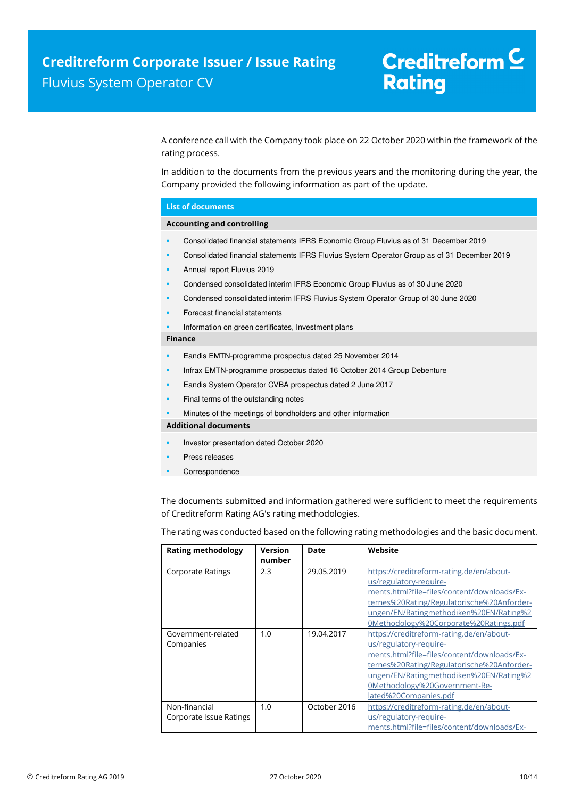A conference call with the Company took place on 22 October 2020 within the framework of the rating process.

In addition to the documents from the previous years and the monitoring during the year, the Company provided the following information as part of the update.

#### **List of documents**

#### **Accounting and controlling**

- Consolidated financial statements IFRS Economic Group Fluvius as of 31 December 2019
- Consolidated financial statements IFRS Fluvius System Operator Group as of 31 December 2019
- Annual report Fluvius 2019
- Condensed consolidated interim IFRS Economic Group Fluvius as of 30 June 2020
- Condensed consolidated interim IFRS Fluvius System Operator Group of 30 June 2020
- Forecast financial statements
- Information on green certificates, Investment plans

#### **Finance**

- Eandis EMTN-programme prospectus dated 25 November 2014
- Infrax EMTN-programme prospectus dated 16 October 2014 Group Debenture
- Eandis System Operator CVBA prospectus dated 2 June 2017
- Final terms of the outstanding notes
- Minutes of the meetings of bondholders and other information

**Additional documents** 

- Investor presentation dated October 2020
- Press releases
- Correspondence

The documents submitted and information gathered were sufficient to meet the requirements of Creditreform Rating AG's rating methodologies.

The rating was conducted based on the following rating methodologies and the basic document.

| <b>Rating methodology</b> | <b>Version</b> | Date         | Website                                     |
|---------------------------|----------------|--------------|---------------------------------------------|
|                           | number         |              |                                             |
| <b>Corporate Ratings</b>  | 2.3            | 29.05.2019   | https://creditreform-rating.de/en/about-    |
|                           |                |              | us/regulatory-require-                      |
|                           |                |              | ments.html?file=files/content/downloads/Ex- |
|                           |                |              | ternes%20Rating/Regulatorische%20Anforder-  |
|                           |                |              | ungen/EN/Ratingmethodiken%20EN/Rating%2     |
|                           |                |              | 0Methodology%20Corporate%20Ratings.pdf      |
| Government-related        | 1.0            | 19.04.2017   | https://creditreform-rating.de/en/about-    |
| Companies                 |                |              | us/regulatory-require-                      |
|                           |                |              | ments.html?file=files/content/downloads/Ex- |
|                           |                |              | ternes%20Rating/Regulatorische%20Anforder-  |
|                           |                |              | ungen/EN/Ratingmethodiken%20EN/Rating%2     |
|                           |                |              | 0Methodology%20Government-Re-               |
|                           |                |              | lated%20Companies.pdf                       |
| Non-financial             | 1.0            | October 2016 | https://creditreform-rating.de/en/about-    |
| Corporate Issue Ratings   |                |              | us/regulatory-require-                      |
|                           |                |              | ments.html?file=files/content/downloads/Ex- |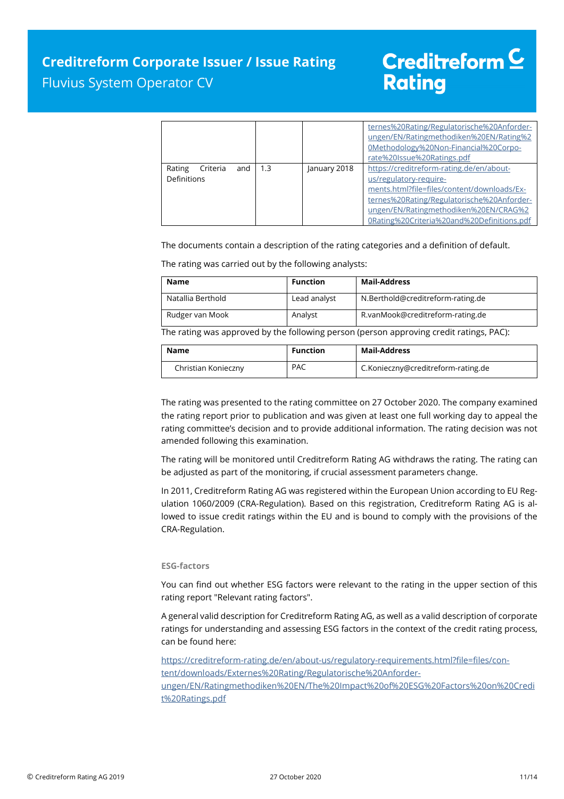### **Creditreform Corporate Issuer / Issue Rating**  Fluvius System Operator CV

# Creditreform  $C$ **Rating**

|                                          |     |              | ternes%20Rating/Regulatorische%20Anforder-<br>ungen/EN/Ratingmethodiken%20EN/Rating%2<br>0Methodology%20Non-Financial%20Corpo-<br>rate%20Issue%20Ratings.pdf                                                                                           |
|------------------------------------------|-----|--------------|--------------------------------------------------------------------------------------------------------------------------------------------------------------------------------------------------------------------------------------------------------|
| Criteria<br>and<br>Rating<br>Definitions | 1.3 | January 2018 | https://creditreform-rating.de/en/about-<br>us/regulatory-require-<br>ments.html?file=files/content/downloads/Ex-<br>ternes%20Rating/Regulatorische%20Anforder-<br>ungen/EN/Ratingmethodiken%20EN/CRAG%2<br>0Rating%20Criteria%20and%20Definitions.pdf |

The documents contain a description of the rating categories and a definition of default.

The rating was carried out by the following analysts:

| Name              | <b>Function</b> | <b>Mail-Address</b>               |
|-------------------|-----------------|-----------------------------------|
| Natallia Berthold | Lead analyst    | N.Berthold@creditreform-rating.de |
| Rudger van Mook   | Analyst         | R.vanMook@creditreform-rating.de  |

The rating was approved by the following person (person approving credit ratings, PAC):

| Name                | Function   | Mail-Address                       |
|---------------------|------------|------------------------------------|
| Christian Konieczny | <b>PAC</b> | C.Konieczny@creditreform-rating.de |

The rating was presented to the rating committee on 27 October 2020. The company examined the rating report prior to publication and was given at least one full working day to appeal the rating committee's decision and to provide additional information. The rating decision was not amended following this examination.

The rating will be monitored until Creditreform Rating AG withdraws the rating. The rating can be adjusted as part of the monitoring, if crucial assessment parameters change.

In 2011, Creditreform Rating AG was registered within the European Union according to EU Regulation 1060/2009 (CRA-Regulation). Based on this registration, Creditreform Rating AG is allowed to issue credit ratings within the EU and is bound to comply with the provisions of the CRA-Regulation.

#### **ESG-factors**

You can find out whether ESG factors were relevant to the rating in the upper section of this rating report "Relevant rating factors".

A general valid description for Creditreform Rating AG, as well as a valid description of corporate ratings for understanding and assessing ESG factors in the context of the credit rating process, can be found here:

https://creditreform-rating.de/en/about-us/regulatory-requirements.html?file=files/content/downloads/Externes%20Rating/Regulatorische%20Anforder-

ungen/EN/Ratingmethodiken%20EN/The%20Impact%20of%20ESG%20Factors%20on%20Credi t%20Ratings.pdf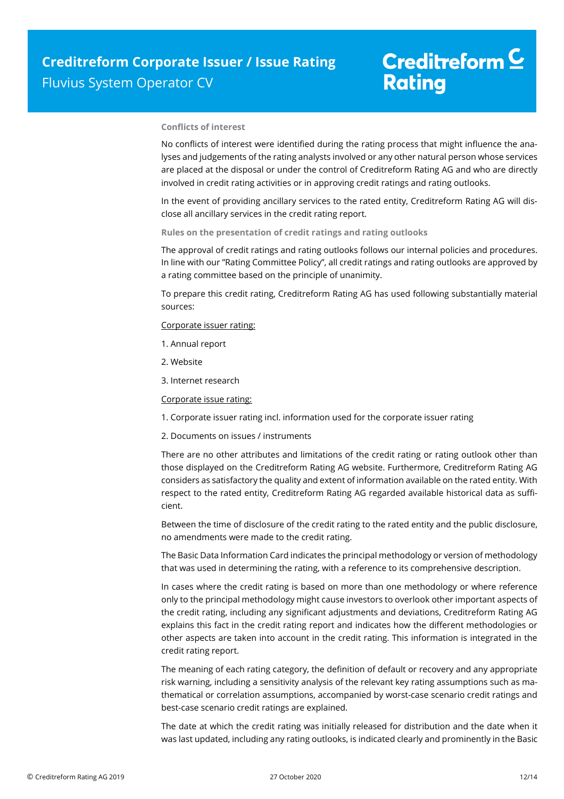#### **Conflicts of interest**

No conflicts of interest were identified during the rating process that might influence the analyses and judgements of the rating analysts involved or any other natural person whose services are placed at the disposal or under the control of Creditreform Rating AG and who are directly involved in credit rating activities or in approving credit ratings and rating outlooks.

In the event of providing ancillary services to the rated entity, Creditreform Rating AG will disclose all ancillary services in the credit rating report.

**Rules on the presentation of credit ratings and rating outlooks** 

The approval of credit ratings and rating outlooks follows our internal policies and procedures. In line with our "Rating Committee Policy", all credit ratings and rating outlooks are approved by a rating committee based on the principle of unanimity.

To prepare this credit rating, Creditreform Rating AG has used following substantially material sources:

Corporate issuer rating:

- 1. Annual report
- 2. Website
- 3. Internet research

Corporate issue rating:

- 1. Corporate issuer rating incl. information used for the corporate issuer rating
- 2. Documents on issues / instruments

There are no other attributes and limitations of the credit rating or rating outlook other than those displayed on the Creditreform Rating AG website. Furthermore, Creditreform Rating AG considers as satisfactory the quality and extent of information available on the rated entity. With respect to the rated entity, Creditreform Rating AG regarded available historical data as sufficient.

Between the time of disclosure of the credit rating to the rated entity and the public disclosure, no amendments were made to the credit rating.

The Basic Data Information Card indicates the principal methodology or version of methodology that was used in determining the rating, with a reference to its comprehensive description.

In cases where the credit rating is based on more than one methodology or where reference only to the principal methodology might cause investors to overlook other important aspects of the credit rating, including any significant adjustments and deviations, Creditreform Rating AG explains this fact in the credit rating report and indicates how the different methodologies or other aspects are taken into account in the credit rating. This information is integrated in the credit rating report.

The meaning of each rating category, the definition of default or recovery and any appropriate risk warning, including a sensitivity analysis of the relevant key rating assumptions such as mathematical or correlation assumptions, accompanied by worst-case scenario credit ratings and best-case scenario credit ratings are explained.

The date at which the credit rating was initially released for distribution and the date when it was last updated, including any rating outlooks, is indicated clearly and prominently in the Basic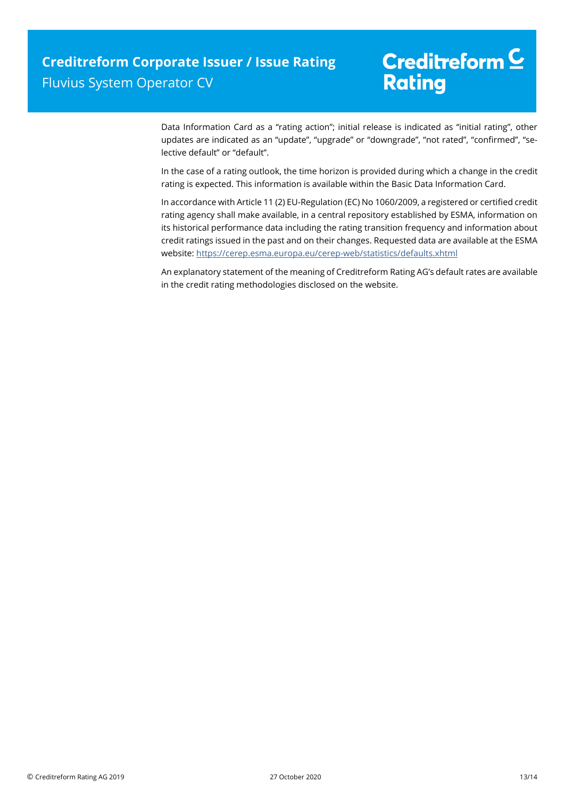Data Information Card as a "rating action"; initial release is indicated as "initial rating", other updates are indicated as an "update", "upgrade" or "downgrade", "not rated", "confirmed", "selective default" or "default".

In the case of a rating outlook, the time horizon is provided during which a change in the credit rating is expected. This information is available within the Basic Data Information Card.

In accordance with Article 11 (2) EU-Regulation (EC) No 1060/2009, a registered or certified credit rating agency shall make available, in a central repository established by ESMA, information on its historical performance data including the rating transition frequency and information about credit ratings issued in the past and on their changes. Requested data are available at the ESMA website: https://cerep.esma.europa.eu/cerep-web/statistics/defaults.xhtml

An explanatory statement of the meaning of Creditreform Rating AG's default rates are available in the credit rating methodologies disclosed on the website.